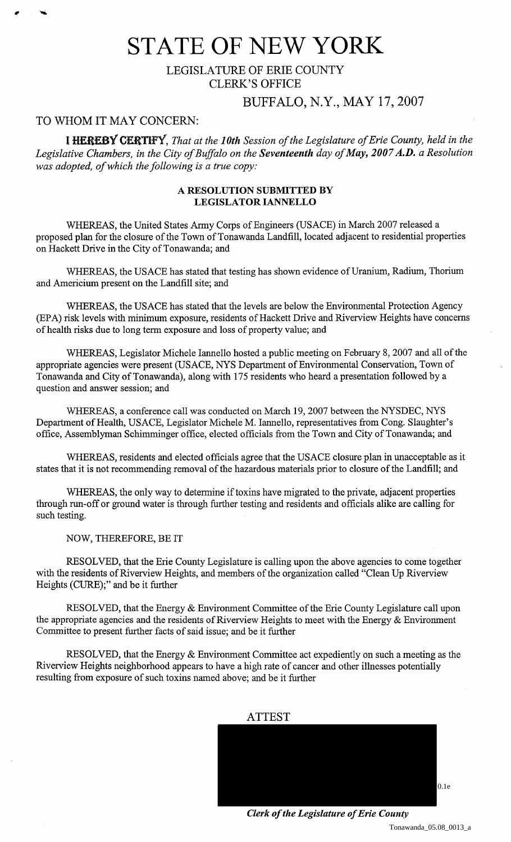# STATE **OF** NEW YORK

LEGISLATURE OF ERIE COUNTY CLERK'S OFFICE

### BUFFALO, N.Y., MAY 17,2007

### TO WHOM IT MAY CONCERN:

I HEREBY CERTIFY, *That at the 10th Session of the Legislature of Erie County, held in the Legislative Chambers, in the City of Buffalo on the Seventeenth day of May, 2007 A.D. a Resolution was adopted, of which the following is a true copy:* 

#### A RESOLUTION SUBMITTED BY LEGISLATOR IANNELLO

WHEREAS, the United States Anny Corps of Engineers (USACE) in March 2007 released a proposed plan for the closure of the Town of Tonawanda Landfill, located adjacent to residential properties on Hackett Drive in the City of Tonawanda; and

WHEREAS, the USACE has stated that testing has shown evidence of Uranium, Radium, Thorium and Americium present on the Landfill site; and

WHEREAS, the USACE has stated that the levels are below the Environmental Protection Agency (EPA) risk levels with minimum exposure, residents of Hackett Drive and Riverview Heights have concerns of health risks due to long term exposure and loss of property value; and

WHEREAS, Legislator Michele Iannello hosted a public meeting on February 8,2007 and all of the appropriate agencies were present (USACE, NYS Department of Environmental Conservation, Town of Tonawanda and City of Tonawanda), along with 175 residents who heard a presentation followed by a question and answer session; and

WHEREAS, a conference call was conducted on March 19,2007 between the NYSDEC, NYS Department of Health, USACE, Legislator Michele M. Iannello, representatives from Cong. Slaughter's office, Assemblyman Schimminger office, elected officials from the Town and City of Tonawanda; and

WHEREAS, residents and elected officials agree that the US ACE closure plan in unacceptable as it states that it is not recommending removal of the hazardous materials prior to closure of the Landfill; and

WHEREAS, the only way to determine if toxins have migrated to the private, adjacent properties through run-off or ground water is through further testing and residents and officials alike are calling for such testing.

NOW, THEREFORE, BE IT

RESOLVED, that the Erie County Legislature is calling upon the above agencies to come together with the residents of Riverview Heights, and members of the organization called "Clean Up Riverview Heights (CURE);" and be it further

RESOLVED, that the Energy & Environment Committee of the Erie County Legislature call upon the appropriate agencies and the residents of Riverview Heights to meet with the Energy & Environment Committee to present further facts of said issue; and be it further

RESOLVED, that the Energy & Environment Committee act expediently on such a meeting as the Riverview Heights neighborhood appears to have a high rate of cancer and other illnesses potentially resulting from exposure of such toxins named above; and be it further



*Clerk of the Legislature of Erie County*